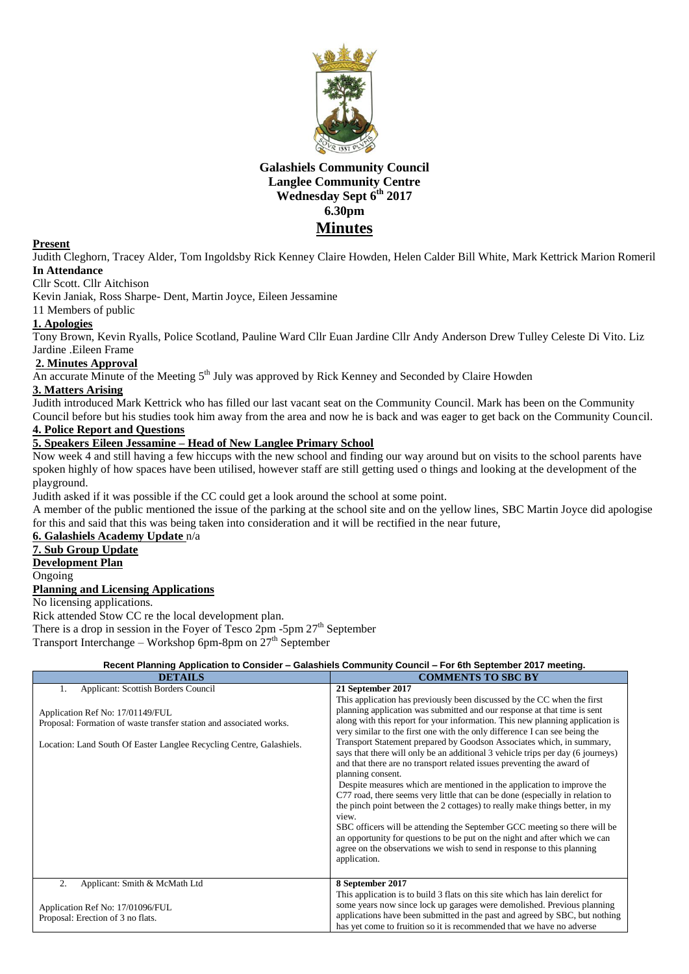

# **Galashiels Community Council Langlee Community Centre Wednesday Sept 6th 2017 6.30pm Minutes**

### **Present**

Judith Cleghorn, Tracey Alder, Tom Ingoldsby Rick Kenney Claire Howden, Helen Calder Bill White, Mark Kettrick Marion Romeril **In Attendance**

Cllr Scott. Cllr Aitchison

Kevin Janiak, Ross Sharpe- Dent, Martin Joyce, Eileen Jessamine

11 Members of public

# **1. Apologies**

Tony Brown, Kevin Ryalls, Police Scotland, Pauline Ward Cllr Euan Jardine Cllr Andy Anderson Drew Tulley Celeste Di Vito. Liz Jardine .Eileen Frame

#### **2. Minutes Approval**

An accurate Minute of the Meeting 5<sup>th</sup> July was approved by Rick Kenney and Seconded by Claire Howden

# **3. Matters Arising**

Judith introduced Mark Kettrick who has filled our last vacant seat on the Community Council. Mark has been on the Community Council before but his studies took him away from the area and now he is back and was eager to get back on the Community Council.

# **4. Police Report and Questions**

# **5. Speakers Eileen Jessamine – Head of New Langlee Primary School**

Now week 4 and still having a few hiccups with the new school and finding our way around but on visits to the school parents have spoken highly of how spaces have been utilised, however staff are still getting used o things and looking at the development of the playground.

Judith asked if it was possible if the CC could get a look around the school at some point.

A member of the public mentioned the issue of the parking at the school site and on the yellow lines, SBC Martin Joyce did apologise for this and said that this was being taken into consideration and it will be rectified in the near future,

# **6. Galashiels Academy Update** n/a

**7. Sub Group Update**

**Development Plan**

**Ongoing** 

### **Planning and Licensing Applications**

No licensing applications.

Rick attended Stow CC re the local development plan.

There is a drop in session in the Foyer of Tesco  $2pm -5pm 27$ <sup>th</sup> September Transport Interchange – Workshop 6pm-8pm on  $27<sup>th</sup>$  September

# **Recent Planning Application to Consider – Galashiels Community Council – For 6th September 2017 meeting.**

| <b>DETAILS</b>                                                                                                                                                                                                                      | <b>COMMENTS TO SBC BY</b>                                                                                                                                                                                                                                                                                                                                                                                                                                                                                                                                                                                                                                                                                                                                                                                                                                                                                                                                                                                                                                                                                  |
|-------------------------------------------------------------------------------------------------------------------------------------------------------------------------------------------------------------------------------------|------------------------------------------------------------------------------------------------------------------------------------------------------------------------------------------------------------------------------------------------------------------------------------------------------------------------------------------------------------------------------------------------------------------------------------------------------------------------------------------------------------------------------------------------------------------------------------------------------------------------------------------------------------------------------------------------------------------------------------------------------------------------------------------------------------------------------------------------------------------------------------------------------------------------------------------------------------------------------------------------------------------------------------------------------------------------------------------------------------|
| <b>Applicant: Scottish Borders Council</b><br>1.<br>Application Ref No: 17/01149/FUL<br>Proposal: Formation of waste transfer station and associated works.<br>Location: Land South Of Easter Langlee Recycling Centre, Galashiels. | 21 September 2017<br>This application has previously been discussed by the CC when the first<br>planning application was submitted and our response at that time is sent<br>along with this report for your information. This new planning application is<br>very similar to the first one with the only difference I can see being the<br>Transport Statement prepared by Goodson Associates which, in summary,<br>says that there will only be an additional 3 vehicle trips per day (6 journeys)<br>and that there are no transport related issues preventing the award of<br>planning consent.<br>Despite measures which are mentioned in the application to improve the<br>C77 road, there seems very little that can be done (especially in relation to<br>the pinch point between the 2 cottages) to really make things better, in my<br>view.<br>SBC officers will be attending the September GCC meeting so there will be<br>an opportunity for questions to be put on the night and after which we can<br>agree on the observations we wish to send in response to this planning<br>application. |
| Applicant: Smith & McMath Ltd<br>2.<br>Application Ref No: 17/01096/FUL                                                                                                                                                             | 8 September 2017<br>This application is to build 3 flats on this site which has lain derelict for<br>some years now since lock up garages were demolished. Previous planning                                                                                                                                                                                                                                                                                                                                                                                                                                                                                                                                                                                                                                                                                                                                                                                                                                                                                                                               |
| Proposal: Erection of 3 no flats.                                                                                                                                                                                                   | applications have been submitted in the past and agreed by SBC, but nothing<br>has yet come to fruition so it is recommended that we have no adverse                                                                                                                                                                                                                                                                                                                                                                                                                                                                                                                                                                                                                                                                                                                                                                                                                                                                                                                                                       |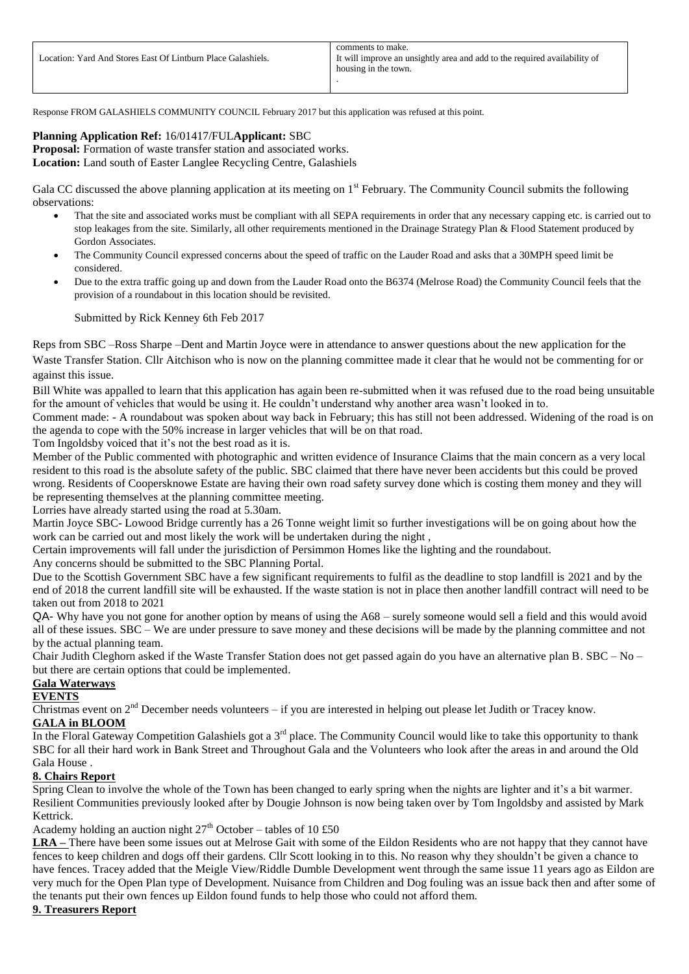Response FROM GALASHIELS COMMUNITY COUNCIL February 2017 but this application was refused at this point.

# **Planning Application Ref:** 16/01417/FUL**Applicant:** SBC

**Proposal:** Formation of waste transfer station and associated works. **Location:** Land south of Easter Langlee Recycling Centre, Galashiels

Gala CC discussed the above planning application at its meeting on  $1<sup>st</sup>$  February. The Community Council submits the following observations:

- That the site and associated works must be compliant with all SEPA requirements in order that any necessary capping etc. is carried out to stop leakages from the site. Similarly, all other requirements mentioned in the Drainage Strategy Plan & Flood Statement produced by Gordon Associates.
- The Community Council expressed concerns about the speed of traffic on the Lauder Road and asks that a 30MPH speed limit be considered.
- Due to the extra traffic going up and down from the Lauder Road onto the B6374 (Melrose Road) the Community Council feels that the provision of a roundabout in this location should be revisited.

Submitted by Rick Kenney 6th Feb 2017

Reps from SBC –Ross Sharpe –Dent and Martin Joyce were in attendance to answer questions about the new application for the Waste Transfer Station. Cllr Aitchison who is now on the planning committee made it clear that he would not be commenting for or against this issue.

Bill White was appalled to learn that this application has again been re-submitted when it was refused due to the road being unsuitable for the amount of vehicles that would be using it. He couldn't understand why another area wasn't looked in to.

Comment made: - A roundabout was spoken about way back in February; this has still not been addressed. Widening of the road is on the agenda to cope with the 50% increase in larger vehicles that will be on that road.

Tom Ingoldsby voiced that it's not the best road as it is.

Member of the Public commented with photographic and written evidence of Insurance Claims that the main concern as a very local resident to this road is the absolute safety of the public. SBC claimed that there have never been accidents but this could be proved wrong. Residents of Coopersknowe Estate are having their own road safety survey done which is costing them money and they will be representing themselves at the planning committee meeting.

Lorries have already started using the road at 5.30am.

Martin Joyce SBC- Lowood Bridge currently has a 26 Tonne weight limit so further investigations will be on going about how the work can be carried out and most likely the work will be undertaken during the night ,

Certain improvements will fall under the jurisdiction of Persimmon Homes like the lighting and the roundabout.

Any concerns should be submitted to the SBC Planning Portal.

Due to the Scottish Government SBC have a few significant requirements to fulfil as the deadline to stop landfill is 2021 and by the end of 2018 the current landfill site will be exhausted. If the waste station is not in place then another landfill contract will need to be taken out from 2018 to 2021

QA- Why have you not gone for another option by means of using the A68 – surely someone would sell a field and this would avoid all of these issues. SBC – We are under pressure to save money and these decisions will be made by the planning committee and not by the actual planning team.

Chair Judith Cleghorn asked if the Waste Transfer Station does not get passed again do you have an alternative plan B. SBC – No – but there are certain options that could be implemented.

# **Gala Waterways**

# **EVENTS**

Christmas event on 2<sup>nd</sup> December needs volunteers – if you are interested in helping out please let Judith or Tracey know.

# **GALA in BLOOM**

In the Floral Gateway Competition Galashiels got a 3<sup>rd</sup> place. The Community Council would like to take this opportunity to thank SBC for all their hard work in Bank Street and Throughout Gala and the Volunteers who look after the areas in and around the Old Gala House .

# **8. Chairs Report**

Spring Clean to involve the whole of the Town has been changed to early spring when the nights are lighter and it's a bit warmer. Resilient Communities previously looked after by Dougie Johnson is now being taken over by Tom Ingoldsby and assisted by Mark Kettrick.

Academy holding an auction night  $27<sup>th</sup>$  October – tables of 10 £50

**LRA –** There have been some issues out at Melrose Gait with some of the Eildon Residents who are not happy that they cannot have fences to keep children and dogs off their gardens. Cllr Scott looking in to this. No reason why they shouldn't be given a chance to have fences. Tracey added that the Meigle View/Riddle Dumble Development went through the same issue 11 years ago as Eildon are very much for the Open Plan type of Development. Nuisance from Children and Dog fouling was an issue back then and after some of the tenants put their own fences up Eildon found funds to help those who could not afford them.

# **9. Treasurers Report**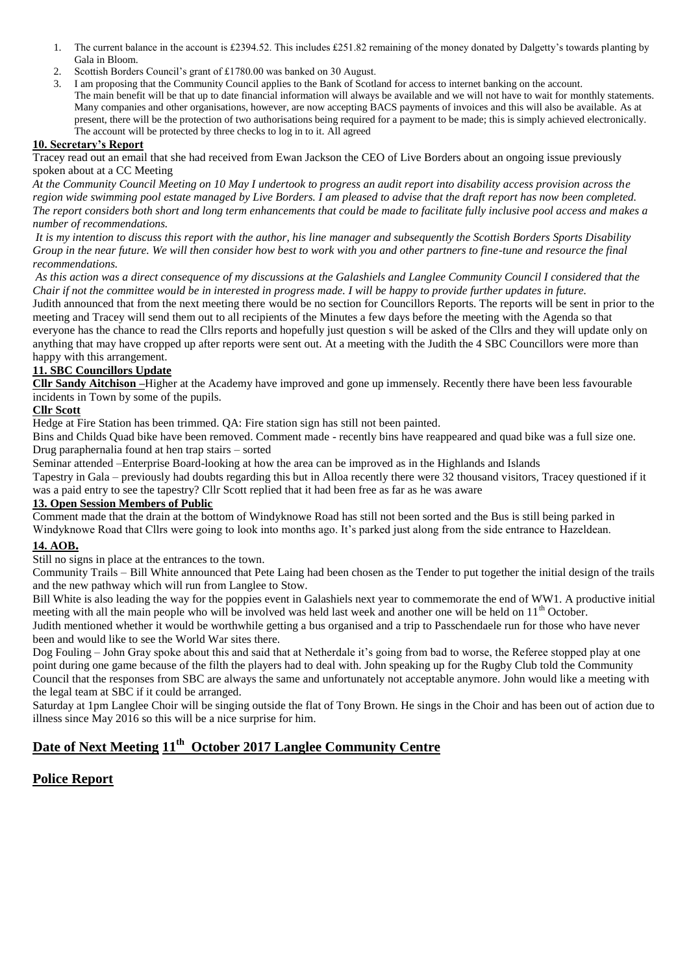- 1. The current balance in the account is £2394.52. This includes £251.82 remaining of the money donated by Dalgetty's towards planting by Gala in Bloom.
- 2. Scottish Borders Council's grant of £1780.00 was banked on 30 August.
- 3. I am proposing that the Community Council applies to the Bank of Scotland for access to internet banking on the account. The main benefit will be that up to date financial information will always be available and we will not have to wait for monthly statements. Many companies and other organisations, however, are now accepting BACS payments of invoices and this will also be available. As at present, there will be the protection of two authorisations being required for a payment to be made; this is simply achieved electronically. The account will be protected by three checks to log in to it. All agreed

# **10. Secretary's Report**

Tracey read out an email that she had received from Ewan Jackson the CEO of Live Borders about an ongoing issue previously spoken about at a CC Meeting

*At the Community Council Meeting on 10 May I undertook to progress an audit report into disability access provision across the region wide swimming pool estate managed by Live Borders. I am pleased to advise that the draft report has now been completed. The report considers both short and long term enhancements that could be made to facilitate fully inclusive pool access and makes a number of recommendations.*

*It is my intention to discuss this report with the author, his line manager and subsequently the Scottish Borders Sports Disability Group in the near future. We will then consider how best to work with you and other partners to fine-tune and resource the final recommendations.*

*As this action was a direct consequence of my discussions at the Galashiels and Langlee Community Council I considered that the Chair if not the committee would be in interested in progress made. I will be happy to provide further updates in future.*

Judith announced that from the next meeting there would be no section for Councillors Reports. The reports will be sent in prior to the meeting and Tracey will send them out to all recipients of the Minutes a few days before the meeting with the Agenda so that everyone has the chance to read the Cllrs reports and hopefully just question s will be asked of the Cllrs and they will update only on anything that may have cropped up after reports were sent out. At a meeting with the Judith the 4 SBC Councillors were more than happy with this arrangement.

# **11. SBC Councillors Update**

**Cllr Sandy Aitchison –**Higher at the Academy have improved and gone up immensely. Recently there have been less favourable incidents in Town by some of the pupils.

### **Cllr Scott**

Hedge at Fire Station has been trimmed. QA: Fire station sign has still not been painted.

Bins and Childs Quad bike have been removed. Comment made - recently bins have reappeared and quad bike was a full size one. Drug paraphernalia found at hen trap stairs – sorted

Seminar attended –Enterprise Board-looking at how the area can be improved as in the Highlands and Islands

Tapestry in Gala – previously had doubts regarding this but in Alloa recently there were 32 thousand visitors, Tracey questioned if it was a paid entry to see the tapestry? Cllr Scott replied that it had been free as far as he was aware

# **13. Open Session Members of Public**

Comment made that the drain at the bottom of Windyknowe Road has still not been sorted and the Bus is still being parked in Windyknowe Road that Cllrs were going to look into months ago. It's parked just along from the side entrance to Hazeldean.

# **14. AOB.**

Still no signs in place at the entrances to the town.

Community Trails – Bill White announced that Pete Laing had been chosen as the Tender to put together the initial design of the trails and the new pathway which will run from Langlee to Stow.

Bill White is also leading the way for the poppies event in Galashiels next year to commemorate the end of WW1. A productive initial meeting with all the main people who will be involved was held last week and another one will be held on  $11<sup>th</sup>$  October.

Judith mentioned whether it would be worthwhile getting a bus organised and a trip to Passchendaele run for those who have never been and would like to see the World War sites there.

Dog Fouling – John Gray spoke about this and said that at Netherdale it's going from bad to worse, the Referee stopped play at one point during one game because of the filth the players had to deal with. John speaking up for the Rugby Club told the Community Council that the responses from SBC are always the same and unfortunately not acceptable anymore. John would like a meeting with the legal team at SBC if it could be arranged.

Saturday at 1pm Langlee Choir will be singing outside the flat of Tony Brown. He sings in the Choir and has been out of action due to illness since May 2016 so this will be a nice surprise for him.

# **Date of Next Meeting 11th October 2017 Langlee Community Centre**

# **Police Report**